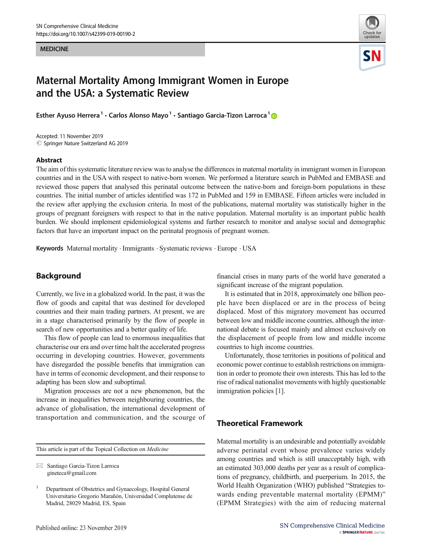**MEDICINE** MEDICINE



# Maternal Mortality Among Immigrant Women in Europe and the USA: a Systematic Review

Esther Ayuso Herrera<sup>1</sup> · Carlos Alonso Mayo<sup>1</sup> · Santiago Garcia-Tizon Larroca<sup>1</sup> ®

Accepted: 11 November 2019  $\circledcirc$  Springer Nature Switzerland AG 2019

#### Abstract

The aim of this systematic literature review was to analyse the differences in maternal mortality in immigrant women in European countries and in the USA with respect to native-born women. We performed a literature search in PubMed and EMBASE and reviewed those papers that analysed this perinatal outcome between the native-born and foreign-born populations in these countries. The initial number of articles identified was 172 in PubMed and 159 in EMBASE. Fifteen articles were included in the review after applying the exclusion criteria. In most of the publications, maternal mortality was statistically higher in the groups of pregnant foreigners with respect to that in the native population. Maternal mortality is an important public health burden. We should implement epidemiological systems and further research to monitor and analyse social and demographic factors that have an important impact on the perinatal prognosis of pregnant women.

Keywords Maternal mortality . Immigrants . Systematic reviews . Europe . USA

# Background

Currently, we live in a globalized world. In the past, it was the flow of goods and capital that was destined for developed countries and their main trading partners. At present, we are in a stage characterised primarily by the flow of people in search of new opportunities and a better quality of life.

This flow of people can lead to enormous inequalities that characterise our era and over time halt the accelerated progress occurring in developing countries. However, governments have disregarded the possible benefits that immigration can have in terms of economic development, and their response to adapting has been slow and suboptimal.

Migration processes are not a new phenomenon, but the increase in inequalities between neighbouring countries, the advance of globalisation, the international development of transportation and communication, and the scourge of

This article is part of the Topical Collection on Medicine

 $\boxtimes$  Santiago Garcia-Tizon Larroca [gineteca@gmail.com](mailto:gineteca@gmail.com)

financial crises in many parts of the world have generated a significant increase of the migrant population.

It is estimated that in 2018, approximately one billion people have been displaced or are in the process of being displaced. Most of this migratory movement has occurred between low and middle income countries, although the international debate is focused mainly and almost exclusively on the displacement of people from low and middle income countries to high income countries.

Unfortunately, those territories in positions of political and economic power continue to establish restrictions on immigration in order to promote their own interests. This has led to the rise of radical nationalist movements with highly questionable immigration policies [\[1](#page-7-0)].

# Theoretical Framework

Maternal mortality is an undesirable and potentially avoidable adverse perinatal event whose prevalence varies widely among countries and which is still unacceptably high, with an estimated 303,000 deaths per year as a result of complications of pregnancy, childbirth, and puerperium. In 2015, the World Health Organization (WHO) published "Strategies towards ending preventable maternal mortality (EPMM)" (EPMM Strategies) with the aim of reducing maternal

<sup>1</sup> Department of Obstetrics and Gynaecology, Hospital General Universitario Gregorio Marañón, Universidad Complutense de Madrid, 28029 Madrid, ES, Spain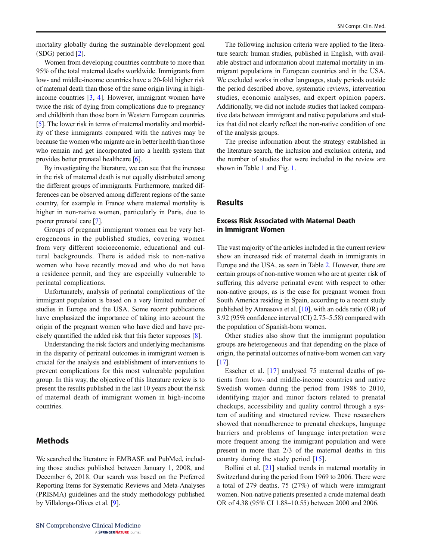mortality globally during the sustainable development goal (SDG) period [\[2\]](#page-7-0).

Women from developing countries contribute to more than 95% of the total maternal deaths worldwide. Immigrants from low- and middle-income countries have a 20-fold higher risk of maternal death than those of the same origin living in highincome countries [\[3](#page-8-0), [4](#page-8-0)]. However, immigrant women have twice the risk of dying from complications due to pregnancy and childbirth than those born in Western European countries [\[5](#page-8-0)]. The lower risk in terms of maternal mortality and morbidity of these immigrants compared with the natives may be because the women who migrate are in better health than those who remain and get incorporated into a health system that provides better prenatal healthcare [\[6](#page-8-0)].

By investigating the literature, we can see that the increase in the risk of maternal death is not equally distributed among the different groups of immigrants. Furthermore, marked differences can be observed among different regions of the same country, for example in France where maternal mortality is higher in non-native women, particularly in Paris, due to poorer prenatal care [\[7](#page-8-0)].

Groups of pregnant immigrant women can be very heterogeneous in the published studies, covering women from very different socioeconomic, educational and cultural backgrounds. There is added risk to non-native women who have recently moved and who do not have a residence permit, and they are especially vulnerable to perinatal complications.

Unfortunately, analysis of perinatal complications of the immigrant population is based on a very limited number of studies in Europe and the USA. Some recent publications have emphasized the importance of taking into account the origin of the pregnant women who have died and have precisely quantified the added risk that this factor supposes [[8\]](#page-8-0).

Understanding the risk factors and underlying mechanisms in the disparity of perinatal outcomes in immigrant women is crucial for the analysis and establishment of interventions to prevent complications for this most vulnerable population group. In this way, the objective of this literature review is to present the results published in the last 10 years about the risk of maternal death of immigrant women in high-income countries.

# **Methods**

We searched the literature in EMBASE and PubMed, including those studies published between January 1, 2008, and December 6, 2018. Our search was based on the Preferred Reporting Items for Systematic Reviews and Meta-Analyses (PRISMA) guidelines and the study methodology published by Villalonga-Olives et al. [\[9](#page-8-0)].

The following inclusion criteria were applied to the literature search: human studies, published in English, with available abstract and information about maternal mortality in immigrant populations in European countries and in the USA. We excluded works in other languages, study periods outside the period described above, systematic reviews, intervention studies, economic analyses, and expert opinion papers. Additionally, we did not include studies that lacked comparative data between immigrant and native populations and studies that did not clearly reflect the non-native condition of one of the analysis groups.

The precise information about the strategy established in the literature search, the inclusion and exclusion criteria, and the number of studies that were included in the review are shown in Table [1](#page-2-0) and Fig. [1.](#page-2-0)

#### Results

#### Excess Risk Associated with Maternal Death in Immigrant Women

The vast majority of the articles included in the current review show an increased risk of maternal death in immigrants in Europe and the USA, as seen in Table [2](#page-4-0). However, there are certain groups of non-native women who are at greater risk of suffering this adverse perinatal event with respect to other non-native groups, as is the case for pregnant women from South America residing in Spain, according to a recent study published by Atanasova et al. [\[10\]](#page-8-0), with an odds ratio (OR) of 3.92 (95% confidence interval (CI) 2.75–5.58) compared with the population of Spanish-born women.

Other studies also show that the immigrant population groups are heterogeneous and that depending on the place of origin, the perinatal outcomes of native-born women can vary [\[17](#page-8-0)].

Esscher et al. [[17\]](#page-8-0) analysed 75 maternal deaths of patients from low- and middle-income countries and native Swedish women during the period from 1988 to 2010, identifying major and minor factors related to prenatal checkups, accessibility and quality control through a system of auditing and structured review. These researchers showed that nonadherence to prenatal checkups, language barriers and problems of language interpretation were more frequent among the immigrant population and were present in more than 2/3 of the maternal deaths in this country during the study period [[15\]](#page-8-0).

Bollini et al. [\[21](#page-8-0)] studied trends in maternal mortality in Switzerland during the period from 1969 to 2006. There were a total of 279 deaths, 75 (27%) of which were immigrant women. Non-native patients presented a crude maternal death OR of 4.38 (95% CI 1.88–10.55) between 2000 and 2006.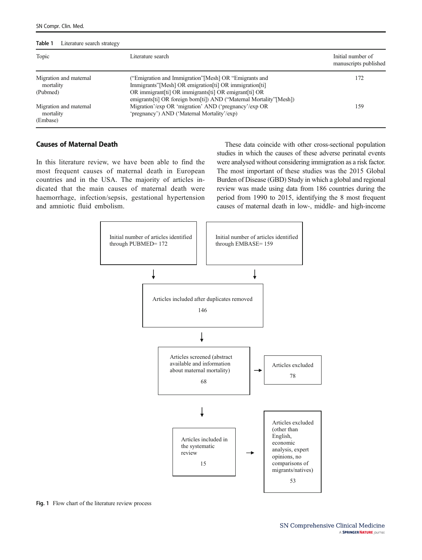<span id="page-2-0"></span>

| Topic                                           | Literature search                                                                                                            | Initial number of<br>manuscripts published |
|-------------------------------------------------|------------------------------------------------------------------------------------------------------------------------------|--------------------------------------------|
| Migration and maternal<br>mortality             | ("Emigration and Immigration"[Mesh] OR "Emigrants and<br>Immigrants"[Mesh] OR emigration[ti] OR immigration[ti]              | 172                                        |
| (Pubmed)                                        | OR immigrant[ti] OR immigrants[ti] OR emigrant[ti] OR<br>emigrants[ti] OR foreign born[ti]) AND ("Maternal Mortality"[Mesh]) |                                            |
| Migration and maternal<br>mortality<br>(Embase) | Migration'/exp OR 'migration' AND ('pregnancy'/exp OR<br>'pregnancy') AND ('Maternal Mortality'/exp)                         | 159                                        |

#### Causes of Maternal Death

In this literature review, we have been able to find the most frequent causes of maternal death in European countries and in the USA. The majority of articles indicated that the main causes of maternal death were haemorrhage, infection/sepsis, gestational hypertension and amniotic fluid embolism.

These data coincide with other cross-sectional population studies in which the causes of these adverse perinatal events were analysed without considering immigration as a risk factor. The most important of these studies was the 2015 Global Burden of Disease (GBD) Study in which a global and regional review was made using data from 186 countries during the period from 1990 to 2015, identifying the 8 most frequent causes of maternal death in low-, middle- and high-income



Fig. 1 Flow chart of the literature review process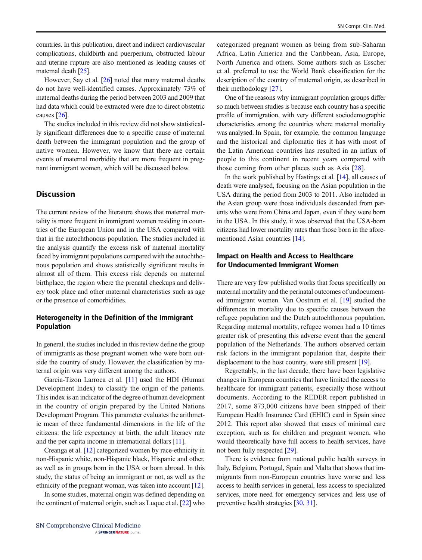countries. In this publication, direct and indirect cardiovascular complications, childbirth and puerperium, obstructed labour and uterine rupture are also mentioned as leading causes of maternal death [\[25\]](#page-8-0).

However, Say et al. [[26](#page-8-0)] noted that many maternal deaths do not have well-identified causes. Approximately 73% of maternal deaths during the period between 2003 and 2009 that had data which could be extracted were due to direct obstetric causes [\[26\]](#page-8-0).

The studies included in this review did not show statistically significant differences due to a specific cause of maternal death between the immigrant population and the group of native women. However, we know that there are certain events of maternal morbidity that are more frequent in pregnant immigrant women, which will be discussed below.

# **Discussion**

The current review of the literature shows that maternal mortality is more frequent in immigrant women residing in countries of the European Union and in the USA compared with that in the autochthonous population. The studies included in the analysis quantify the excess risk of maternal mortality faced by immigrant populations compared with the autochthonous population and shows statistically significant results in almost all of them. This excess risk depends on maternal birthplace, the region where the prenatal checkups and delivery took place and other maternal characteristics such as age or the presence of comorbidities.

# Heterogeneity in the Definition of the Immigrant Population

In general, the studies included in this review define the group of immigrants as those pregnant women who were born outside the country of study. However, the classification by maternal origin was very different among the authors.

Garcia-Tizon Larroca et al. [[11](#page-8-0)] used the HDI (Human Development Index) to classify the origin of the patients. This index is an indicator of the degree of human development in the country of origin prepared by the United Nations Development Program. This parameter evaluates the arithmetic mean of three fundamental dimensions in the life of the citizens: the life expectancy at birth, the adult literacy rate and the per capita income in international dollars [\[11\]](#page-8-0).

Creanga et al. [\[12\]](#page-8-0) categorized women by race-ethnicity in non-Hispanic white, non-Hispanic black, Hispanic and other, as well as in groups born in the USA or born abroad. In this study, the status of being an immigrant or not, as well as the ethnicity of the pregnant woman, was taken into account [[12\]](#page-8-0).

In some studies, maternal origin was defined depending on the continent of maternal origin, such as Luque et al. [\[22\]](#page-8-0) who categorized pregnant women as being from sub-Saharan Africa, Latin America and the Caribbean, Asia, Europe, North America and others. Some authors such as Esscher et al. preferred to use the World Bank classification for the description of the country of maternal origin, as described in their methodology [\[27](#page-8-0)].

One of the reasons why immigrant population groups differ so much between studies is because each country has a specific profile of immigration, with very different sociodemographic characteristics among the countries where maternal mortality was analysed. In Spain, for example, the common language and the historical and diplomatic ties it has with most of the Latin American countries has resulted in an influx of people to this continent in recent years compared with those coming from other places such as Asia [\[28](#page-8-0)].

In the work published by Hastings et al. [\[14](#page-8-0)], all causes of death were analysed, focusing on the Asian population in the USA during the period from 2003 to 2011. Also included in the Asian group were those individuals descended from parents who were from China and Japan, even if they were born in the USA. In this study, it was observed that the USA-born citizens had lower mortality rates than those born in the aforementioned Asian countries [\[14\]](#page-8-0).

# Impact on Health and Access to Healthcare for Undocumented Immigrant Women

There are very few published works that focus specifically on maternal mortality and the perinatal outcomes of undocumented immigrant women. Van Oostrum et al. [\[19](#page-8-0)] studied the differences in mortality due to specific causes between the refugee population and the Dutch autochthonous population. Regarding maternal mortality, refugee women had a 10 times greater risk of presenting this adverse event than the general population of the Netherlands. The authors observed certain risk factors in the immigrant population that, despite their displacement to the host country, were still present [\[19\]](#page-8-0).

Regrettably, in the last decade, there have been legislative changes in European countries that have limited the access to healthcare for immigrant patients, especially those without documents. According to the REDER report published in 2017, some 873,000 citizens have been stripped of their European Health Insurance Card (EHIC) card in Spain since 2012. This report also showed that cases of minimal care exception, such as for children and pregnant women, who would theoretically have full access to health services, have not been fully respected [\[29\]](#page-8-0).

There is evidence from national public health surveys in Italy, Belgium, Portugal, Spain and Malta that shows that immigrants from non-European countries have worse and less access to health services in general, less access to specialized services, more need for emergency services and less use of preventive health strategies [[30](#page-8-0), [31](#page-8-0)].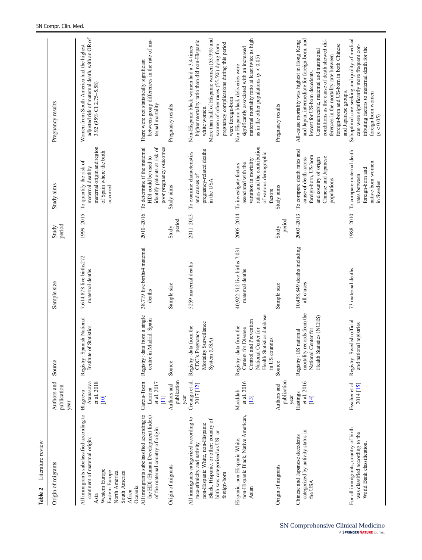<span id="page-4-0"></span>

| Literature review<br>Table 2                                                                                                                                                                           |                                                                |                                                                                                                                                 |                                                       |                    |                                                                                                                                              |                                                                                                                                                                                                                                                                                                                                        |
|--------------------------------------------------------------------------------------------------------------------------------------------------------------------------------------------------------|----------------------------------------------------------------|-------------------------------------------------------------------------------------------------------------------------------------------------|-------------------------------------------------------|--------------------|----------------------------------------------------------------------------------------------------------------------------------------------|----------------------------------------------------------------------------------------------------------------------------------------------------------------------------------------------------------------------------------------------------------------------------------------------------------------------------------------|
| Origin of migrants                                                                                                                                                                                     | Authors and<br>publication<br>year                             | Source                                                                                                                                          | Sample size                                           | period<br>Study    | Study aims                                                                                                                                   | Pregnancy results                                                                                                                                                                                                                                                                                                                      |
| All immigrants subclassified according to<br>continent of maternal origin:<br>Western Europe<br>Eastern Europe<br>North America<br>South America<br>Oceania<br>Africa<br>Asia                          | et al. 2018<br>Atanasova<br>Blagoeva<br>$[10]$                 | Registry: Spanish National<br>of Statistics<br>Institute                                                                                        | 7,614,878 live births272<br>maternal deaths           | 1999-2015          | maternal origin and region<br>of Spain where the birth<br>To quantify the risk of<br>maternal deathby<br>occurred                            | adjusted risk of maternal death, with an OR of<br>Women from South America had the highest<br>3.92 (95% CI 2.75-5.58)                                                                                                                                                                                                                  |
| All immigrants subclassified according to<br>the HDI (Human Development Index)<br>of the maternal country of origin<br>Origin of migrants                                                              | Garcia-Tizon<br>et al. 2017<br>Authors and<br>Larroca<br>$\Xi$ | Registry: data from a single<br>centre in Madrid, Spain<br>Source                                                                               | 38,719 live births4 maternal<br>Sample size<br>deaths | 2010-2016<br>Study | To determine if the maternal<br>identify patients at risk of<br>poor pregnancy outcomes<br>HDI could be used to<br>Study aims                | between-group differences in the rate of ma-<br>There were not statistically significant<br>ternal mortality<br>Pregnancy results                                                                                                                                                                                                      |
|                                                                                                                                                                                                        | publication<br>year                                            |                                                                                                                                                 |                                                       | period             |                                                                                                                                              |                                                                                                                                                                                                                                                                                                                                        |
| All immigrants categorized according to<br>Black, Hispanic, or other; country of<br>non-Hispanic White, non-Hispanic<br>birth was categorized as US- or<br>race-ethnicity and nativity<br>foreign-born | Creanga et al.<br>$2017$ $[12]$                                | Mortality Surveillance<br>Registry: data from the<br>CDC's Pregnancy<br>System (USA)                                                            | 5259 maternal deaths                                  | 2011-2013          | pregnancy-related deaths<br>To examine characteristics<br>and causes of<br>in the USA                                                        | More than half of Hispanic women (53.9%) and<br>higher mortality ratio than did non-Hispanic<br>pregnancy complications during this period<br>women of other races $(55.5\%)$ dying from<br>Non-Hispanic black women had a 3.4 times<br>were foreign-born<br>white women.                                                              |
| non-Hispanic Black, Native American,<br>Hispanic, non-Hispanic White,<br>Asian                                                                                                                         | et al. 2016<br>Moaddab<br>$[13]$                               | Health Statistics database<br>Control and Prevention<br>Registry: data from the<br>National Center for<br>Centers for Disease<br>in US counties | 40,922,512 live births 7,031<br>maternal deaths       | 2005-2014          | ratios and the contribution<br>of various demographic<br>variation in mortality<br>associated with the<br>To investigate factors<br>factors  | maternal mortality ratio at least twice as high<br>significantly associated with an increased<br>as in the other populations ( $p < 0.05$ )<br>Non-Hispanic black deliveries were                                                                                                                                                      |
| Origin of migrants                                                                                                                                                                                     | publication<br>Authors and<br>year                             | Source                                                                                                                                          | Sample size                                           | period<br>Study    | Study aims                                                                                                                                   | Pregnancy results                                                                                                                                                                                                                                                                                                                      |
| categorized by nativity status in<br>Chinese and Japanese decedents<br>the USA                                                                                                                         | et al. 2016<br>Hastings<br>$[14]$                              | mortality records from the<br>Health Statistics (NCHS)<br>National Center for<br>Registry: US national                                          | 10,458,849 deaths including<br>all causes             | 2003-2013          | To compare death rates and<br>foreign-born, US-born<br>Chinese and Japanese<br>and country of origin<br>cause of death across<br>populations | and Japan, intermediate for foreign-born, and<br>conditions as the cause of death showed dif-<br>All-cause mortality was highest in Hong Kong<br>foreign-born and US-born in both Chinese<br>Communicable, maternal and nutritional<br>ferences in the mortality rate between<br>lowest for US-born decedents.<br>and Japanese groups. |
| For all immigrants, country of birth<br>was classified according to the<br>World Bank classification.                                                                                                  | Esscher et al.<br>2014 [15]                                    | Registry: Swedish official<br>and national registries                                                                                           | 73 maternal deaths                                    |                    | 1988-2010 To compare maternal death<br>native-born women<br>foreign-born and<br>rates between<br>in Sweden                                   | Suboptimal care-seeking and quality of medical<br>care were significantly more frequent con-<br>tributing factors to maternal death for the<br>foreign-born women<br>(p < 0.05)                                                                                                                                                        |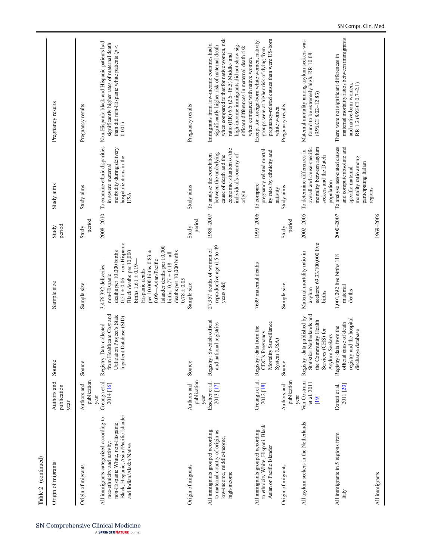| Table 2 (continued)                                                                                                                                                                |                                      |                                                                                                                           |                                                                                                                                                                                                                                                                                                                                              |                 |                                                                                                                                                  |                                                                                                                                                                                                                                                                                                                   |
|------------------------------------------------------------------------------------------------------------------------------------------------------------------------------------|--------------------------------------|---------------------------------------------------------------------------------------------------------------------------|----------------------------------------------------------------------------------------------------------------------------------------------------------------------------------------------------------------------------------------------------------------------------------------------------------------------------------------------|-----------------|--------------------------------------------------------------------------------------------------------------------------------------------------|-------------------------------------------------------------------------------------------------------------------------------------------------------------------------------------------------------------------------------------------------------------------------------------------------------------------|
| Origin of migrants                                                                                                                                                                 | Authors and<br>publication<br>year   | Source                                                                                                                    | Sample size                                                                                                                                                                                                                                                                                                                                  | period<br>Study | Study aims                                                                                                                                       | Pregnancy results                                                                                                                                                                                                                                                                                                 |
| Origin of migrants                                                                                                                                                                 | publication<br>Authors and<br>year   | Source                                                                                                                    | Sample size                                                                                                                                                                                                                                                                                                                                  | period<br>Study | Study aims                                                                                                                                       | Pregnancy results                                                                                                                                                                                                                                                                                                 |
| Black, Hispanic, Asian/Pacific Islander<br>All immigrants categorized according to<br>non-Hispanic White, non-Hispanic<br>race-ethnicity and nativity:<br>and Indian/Alaska Native | Creanga et al.<br>2014 [16]          | from Healthcare Cost and<br>Utilization Project's State<br>Inpatient Database (SID)<br>Registry: Data collected           | $0.51 \pm 0.06$ —non-Hispanic<br>Islander deaths per 10,000<br>Black deaths per 10,000<br>per 10,000 births $0.83 \pm$<br>deaths per 10,000 births<br>deaths per 10,000 births<br>births: $0.77 \pm 0.18 - 11$<br>0.09-Asian/Pacific<br>births $1.61 \pm 0.19$<br>3,476,392 deliveries<br>Hispanic deaths<br>non-Hispanic<br>$0.78 \pm 0.05$ |                 | morbidity during delivery<br>hospitalizations in the<br>in severe maternal<br>USA.                                                               | 2008-2010 To examine ethnic disparities Non-Hispanic black and Hispanic patients had<br>significantly higher rates of maternal death<br>than did non-Hispanic white patients $(p <$<br>0.001)                                                                                                                     |
| Origin of migrants                                                                                                                                                                 | publication<br>Authors and<br>year   | Source                                                                                                                    | Sample size                                                                                                                                                                                                                                                                                                                                  | period<br>Study | Study aims                                                                                                                                       | Pregnancy results                                                                                                                                                                                                                                                                                                 |
| to maternal country of origin as<br>All immigrants grouped according<br>low-income, middle-income,<br>high-income                                                                  | Esscher et al.<br>2013 [17]          | Registry: Swedish official<br>and national registries                                                                     | reproductive age (15 to 49<br>27,957 deaths of women of<br>years old)                                                                                                                                                                                                                                                                        | 1988-2007       | economic situation of the<br>between the underlying<br>To analyse the correlation<br>individual's country of<br>cause of death and the<br>origin | when compared to that for native women, risk<br>Immigrants from low-income countries had a<br>high-income immigrants did not show sig-<br>significantly higher risk of maternal death<br>nificant differences in maternal death risk<br>ratio (RR) 6.6 (2.6-16.5) Middle- and<br>when compared with native women. |
| to ethnicity White, Hispani, Black<br>All immigrants grouped according<br>Asian or Pacific Islander                                                                                | Creanga et al.<br>2012 [18]          | Mortality Surveillance<br>Registry: data from the<br>CDC's Pregnancy<br>System (USA)                                      | 7699 maternal deaths                                                                                                                                                                                                                                                                                                                         | 1993-2006       | pregnancy-related mortal-<br>ity rates by ethnicity and<br>To compare<br>nativity                                                                | pregnancy-related causes than were US-born<br>Except for foreign-born white women, nativity<br>groups were at higher risk of dying from<br>white women                                                                                                                                                            |
| Origin of migrants                                                                                                                                                                 | publication<br>Authors and<br>year   | Source                                                                                                                    | Sample size                                                                                                                                                                                                                                                                                                                                  | period<br>Study | Study aims                                                                                                                                       | Pregnancy results                                                                                                                                                                                                                                                                                                 |
| All asylum seekers in the Netherlands                                                                                                                                              | Van Oostrum<br>et al. 2011<br>$[19]$ | Statistics Netherlands and<br>Registry: data published by<br>the Community Health<br>Services (CHS) for<br>Asylum Seekers | seekers: 69.33/100,000 live<br>Maternal mortality ratio in<br>asylum<br>births                                                                                                                                                                                                                                                               | 2002-2005       | mortality between asylum<br>overall and cause-specific<br>To determine differences in<br>seekers and the Dutch<br>population                     | Maternal mortality among asylum seekers was<br>found to be extremely high, RR 10.08<br>$(95\%CI 8.02 - 12.83)$                                                                                                                                                                                                    |
| All immigrants in 5 regions from<br>Italy                                                                                                                                          | 2011 [20]<br>Donati et al.           | registry and the hospital<br>official cause of death<br>Registry: data from the<br>discharge database                     | 1,001,292 live births 118<br>maternal<br>deaths                                                                                                                                                                                                                                                                                              | 2000-2007       | To analyse associated causes<br>and compute absolute and<br>mortality ratio among<br>participating Italian<br>specific maternal<br>regions       | maternal mortality ratios between immigrants<br>There were not significant differences in<br>RR 1.2 (95%CI 0.7-2.1)<br>and native-born women,                                                                                                                                                                     |
| All immigrants                                                                                                                                                                     |                                      |                                                                                                                           |                                                                                                                                                                                                                                                                                                                                              | 1969-2006       |                                                                                                                                                  |                                                                                                                                                                                                                                                                                                                   |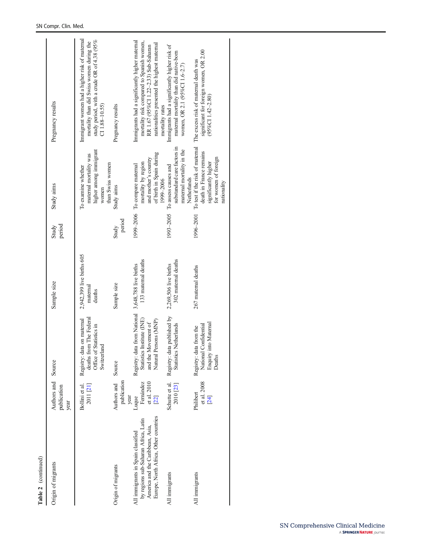| Table 2 (continued)                                                                                                                                     |                                            |                                                                                                                                     |                                                 |                 |                                                                                                                       |                                                                                                                                                                                                         |
|---------------------------------------------------------------------------------------------------------------------------------------------------------|--------------------------------------------|-------------------------------------------------------------------------------------------------------------------------------------|-------------------------------------------------|-----------------|-----------------------------------------------------------------------------------------------------------------------|---------------------------------------------------------------------------------------------------------------------------------------------------------------------------------------------------------|
| Origin of migrants                                                                                                                                      | Authors and Source<br>publication<br>year  |                                                                                                                                     | Sample size                                     | period<br>Study | Study aims                                                                                                            | Pregnancy results                                                                                                                                                                                       |
|                                                                                                                                                         | Bollini et al.<br>2011 [21]                | deaths from The Federal<br>Registry: data on maternal<br>Office of Statistics in<br>Switzerland                                     | 2,942,399 live births 605<br>maternal<br>deaths |                 | higher among immigrant<br>maternal mortality was<br>than Swiss women<br>To examine whether<br>women                   | Immigrant women had a higher risk of maternal<br>study period, with a crude OR of 4.38 (95%<br>mortality than did Swiss women during the<br>$CI1.88 - 10.55$                                            |
| Origin of migrants                                                                                                                                      | publication<br>Authors and<br>year         | Source                                                                                                                              | Sample size                                     | period<br>Study | Study aims                                                                                                            | Pregnancy results                                                                                                                                                                                       |
| Europe, North Africa, Other countries<br>by regions sub-Saharan Africa, Latin<br>America and the Caribbean, Asia,<br>All immigrants in Spain classified | Femández<br>et al. 2010<br>$[22]$<br>Luque | Registry: data from National 3,648,788 live births<br>Statistics Institute (INE)<br>Persons (MNP)<br>and the Movement of<br>Natural | 133 maternal deaths                             |                 | of birth in Spain during<br>and mother's country<br>mortality by region<br>1999-2006 To compare maternal<br>1999-2006 | Immigrants had a significantly higher maternal<br>mortality risk compared to Spanish women,<br>nationalities presented the highest maternal<br>RR 1.67 (95%CI 1.22-2.33) Sub-Saharan<br>mortality rates |
| All immigrants                                                                                                                                          | Schutte et al.<br>2010 [23]                | Registry: data published by<br><b>Statistics Netherlands</b>                                                                        | 302 maternal deaths<br>2,269,506 live births    |                 | substandard care factors in<br>maternal mortality in the<br>1993-2005 To assess causes and<br>Netherlands             | Immigrants had a significantly higher risk of<br>maternal mortality than did native-born<br>women, OR 2.1 (95%CI 1.6-2.7)                                                                               |
| All immigrants                                                                                                                                          | et al. 2008<br>Philibert<br>$[24]$         | Enquiry into Maternal<br>Registry: data from the<br>National Confidential<br>Deaths                                                 | 267 matemal deaths                              |                 | death in France remains<br>for women of foreign<br>significantly higher<br>nationality                                | significant for foreign women, OR 2.00<br>1996–2001 To test if the risk of maternal The excess risk of maternal death was<br>$(95\%CI1.42 - 2.80)$                                                      |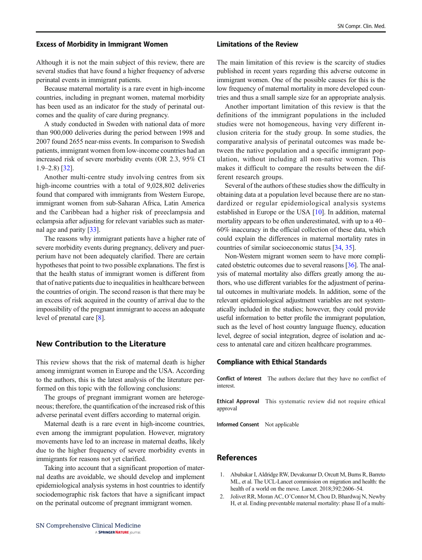#### <span id="page-7-0"></span>Excess of Morbidity in Immigrant Women

Although it is not the main subject of this review, there are several studies that have found a higher frequency of adverse perinatal events in immigrant patients.

Because maternal mortality is a rare event in high-income countries, including in pregnant women, maternal morbidity has been used as an indicator for the study of perinatal outcomes and the quality of care during pregnancy.

A study conducted in Sweden with national data of more than 900,000 deliveries during the period between 1998 and 2007 found 2655 near-miss events. In comparison to Swedish patients, immigrant women from low-income countries had an increased risk of severe morbidity events (OR 2.3, 95% CI 1.9–2.8) [\[32\]](#page-8-0).

Another multi-centre study involving centres from six high-income countries with a total of 9,028,802 deliveries found that compared with immigrants from Western Europe, immigrant women from sub-Saharan Africa, Latin America and the Caribbean had a higher risk of preeclampsia and eclampsia after adjusting for relevant variables such as maternal age and parity [[33](#page-8-0)].

The reasons why immigrant patients have a higher rate of severe morbidity events during pregnancy, delivery and puerperium have not been adequately clarified. There are certain hypotheses that point to two possible explanations. The first is that the health status of immigrant women is different from that of native patients due to inequalities in healthcare between the countries of origin. The second reason is that there may be an excess of risk acquired in the country of arrival due to the impossibility of the pregnant immigrant to access an adequate level of prenatal care [\[8](#page-8-0)].

# New Contribution to the Literature

This review shows that the risk of maternal death is higher among immigrant women in Europe and the USA. According to the authors, this is the latest analysis of the literature performed on this topic with the following conclusions:

The groups of pregnant immigrant women are heterogeneous; therefore, the quantification of the increased risk of this adverse perinatal event differs according to maternal origin.

Maternal death is a rare event in high-income countries, even among the immigrant population. However, migratory movements have led to an increase in maternal deaths, likely due to the higher frequency of severe morbidity events in immigrants for reasons not yet clarified.

Taking into account that a significant proportion of maternal deaths are avoidable, we should develop and implement epidemiological analysis systems in host countries to identify sociodemographic risk factors that have a significant impact on the perinatal outcome of pregnant immigrant women.

### Limitations of the Review

The main limitation of this review is the scarcity of studies published in recent years regarding this adverse outcome in immigrant women. One of the possible causes for this is the low frequency of maternal mortality in more developed countries and thus a small sample size for an appropriate analysis.

Another important limitation of this review is that the definitions of the immigrant populations in the included studies were not homogeneous, having very different inclusion criteria for the study group. In some studies, the comparative analysis of perinatal outcomes was made between the native population and a specific immigrant population, without including all non-native women. This makes it difficult to compare the results between the different research groups.

Several of the authors of these studies show the difficulty in obtaining data at a population level because there are no standardized or regular epidemiological analysis systems established in Europe or the USA [\[10](#page-8-0)]. In addition, maternal mortality appears to be often underestimated, with up to a 40– 60% inaccuracy in the official collection of these data, which could explain the differences in maternal mortality rates in countries of similar socioeconomic status [\[34](#page-8-0), [35](#page-8-0)].

Non-Western migrant women seem to have more complicated obstetric outcomes due to several reasons [[36](#page-8-0)]. The analysis of maternal mortality also differs greatly among the authors, who use different variables for the adjustment of perinatal outcomes in multivariate models. In addition, some of the relevant epidemiological adjustment variables are not systematically included in the studies; however, they could provide useful information to better profile the immigrant population, such as the level of host country language fluency, education level, degree of social integration, degree of isolation and access to antenatal care and citizen healthcare programmes.

#### Compliance with Ethical Standards

Conflict of Interest The authors declare that they have no conflict of interest.

Ethical Approval This systematic review did not require ethical approval

Informed Consent Not applicable

### References

- 1. Abubakar I, Aldridge RW, Devakumar D, Orcutt M, Burns R, Barreto ML, et al. The UCL-Lancet commission on migration and health: the health of a world on the move. Lancet. 2018;392:2606–54.
- 2. Jolivet RR, Moran AC, O'Connor M, Chou D, Bhardwaj N, Newby H, et al. Ending preventable maternal mortality: phase II of a multi-